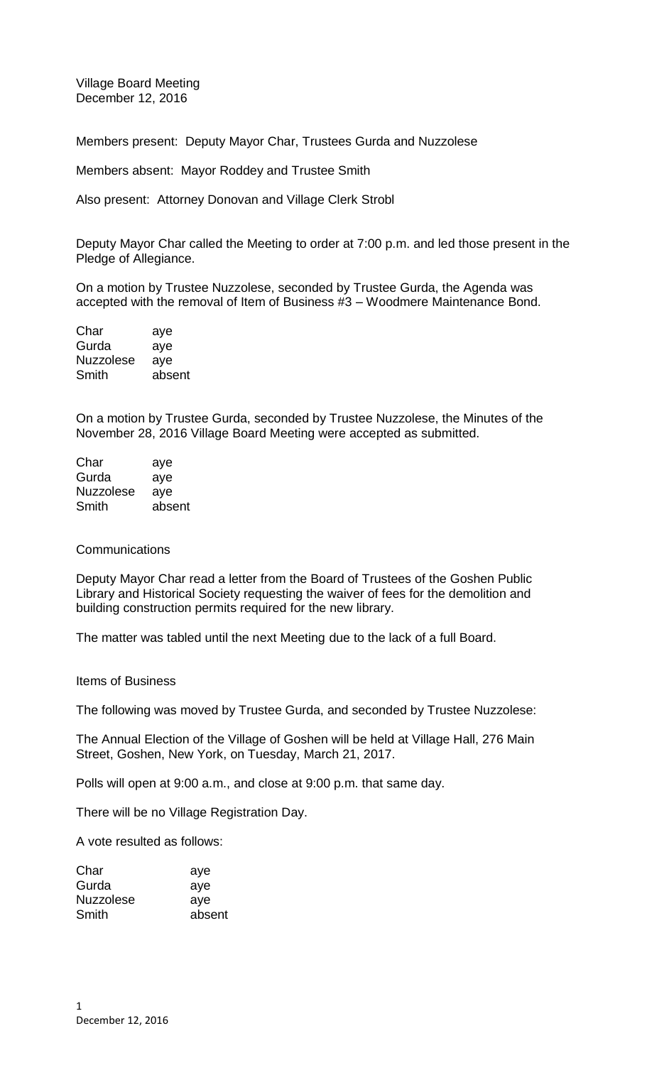Village Board Meeting December 12, 2016

Members present: Deputy Mayor Char, Trustees Gurda and Nuzzolese

Members absent: Mayor Roddey and Trustee Smith

Also present: Attorney Donovan and Village Clerk Strobl

Deputy Mayor Char called the Meeting to order at 7:00 p.m. and led those present in the Pledge of Allegiance.

On a motion by Trustee Nuzzolese, seconded by Trustee Gurda, the Agenda was accepted with the removal of Item of Business #3 – Woodmere Maintenance Bond.

| Char             | aye    |
|------------------|--------|
| Gurda            | aye    |
| <b>Nuzzolese</b> | aye    |
| Smith            | absent |

On a motion by Trustee Gurda, seconded by Trustee Nuzzolese, the Minutes of the November 28, 2016 Village Board Meeting were accepted as submitted.

| Char             | aye    |
|------------------|--------|
| Gurda            | aye    |
| <b>Nuzzolese</b> | ave    |
| Smith            | absent |

## **Communications**

Deputy Mayor Char read a letter from the Board of Trustees of the Goshen Public Library and Historical Society requesting the waiver of fees for the demolition and building construction permits required for the new library.

The matter was tabled until the next Meeting due to the lack of a full Board.

Items of Business

The following was moved by Trustee Gurda, and seconded by Trustee Nuzzolese:

The Annual Election of the Village of Goshen will be held at Village Hall, 276 Main Street, Goshen, New York, on Tuesday, March 21, 2017.

Polls will open at 9:00 a.m., and close at 9:00 p.m. that same day.

There will be no Village Registration Day.

A vote resulted as follows:

| Char      | aye    |
|-----------|--------|
| Gurda     | aye    |
| Nuzzolese | aye    |
| Smith     | absent |